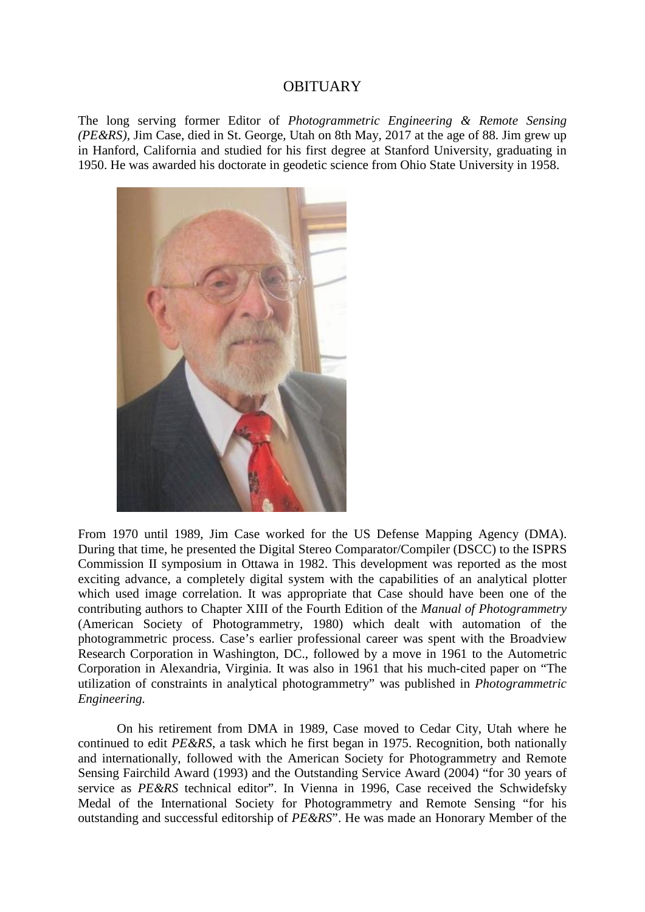## **OBITUARY**

The long serving former Editor of *Photogrammetric Engineering & Remote Sensing (PE&RS)*, Jim Case, died in St. George, Utah on 8th May, 2017 at the age of 88. Jim grew up in Hanford, California and studied for his first degree at Stanford University, graduating in 1950. He was awarded his doctorate in geodetic science from Ohio State University in 1958.



From 1970 until 1989, Jim Case worked for the US Defense Mapping Agency (DMA). During that time, he presented the Digital Stereo Comparator/Compiler (DSCC) to the ISPRS Commission II symposium in Ottawa in 1982. This development was reported as the most exciting advance, a completely digital system with the capabilities of an analytical plotter which used image correlation. It was appropriate that Case should have been one of the contributing authors to Chapter XIII of the Fourth Edition of the *Manual of Photogrammetry* (American Society of Photogrammetry, 1980) which dealt with automation of the photogrammetric process. Case's earlier professional career was spent with the Broadview Research Corporation in Washington, DC., followed by a move in 1961 to the Autometric Corporation in Alexandria, Virginia. It was also in 1961 that his much-cited paper on "The utilization of constraints in analytical photogrammetry" was published in *Photogrammetric Engineering.* 

On his retirement from DMA in 1989, Case moved to Cedar City, Utah where he continued to edit *PE&RS*, a task which he first began in 1975. Recognition, both nationally and internationally, followed with the American Society for Photogrammetry and Remote Sensing Fairchild Award (1993) and the Outstanding Service Award (2004) "for 30 years of service as *PE&RS* technical editor". In Vienna in 1996, Case received the Schwidefsky Medal of the International Society for Photogrammetry and Remote Sensing "for his outstanding and successful editorship of *PE&RS*". He was made an Honorary Member of the